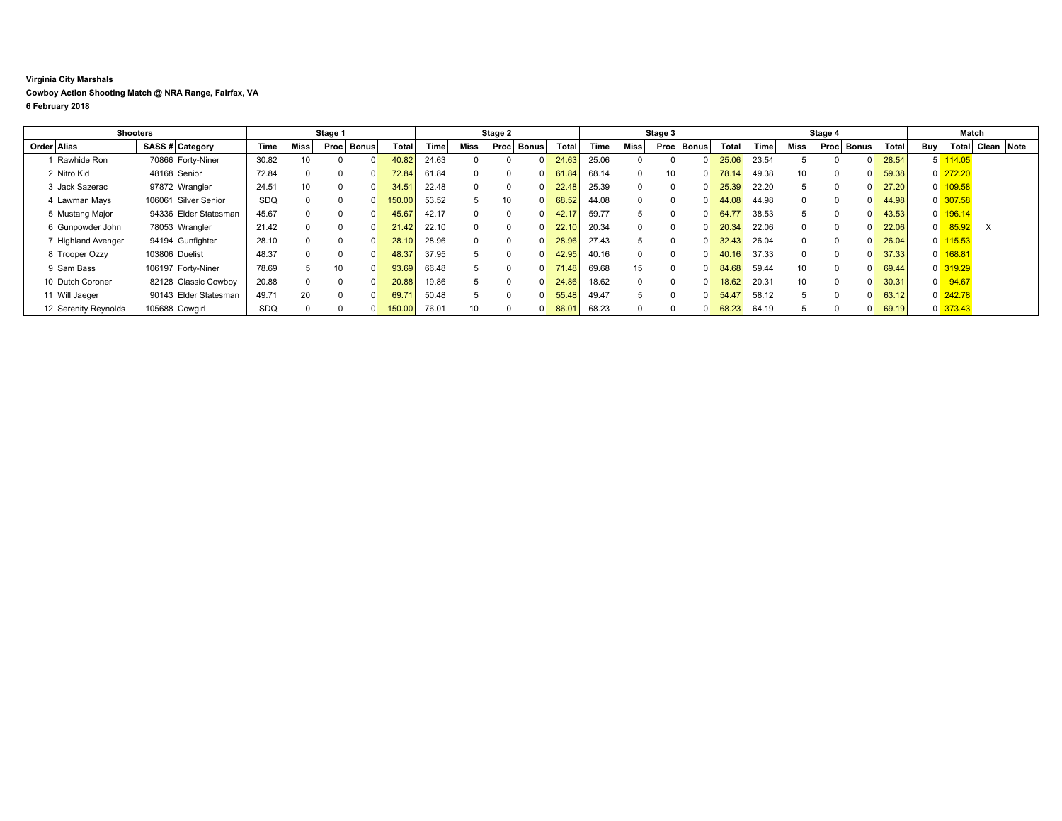## **Virginia City Marshals Cowboy Action Shooting Match @ NRA Range, Fairfax, VA 6 February 2018**

| <b>Shooters</b>      |                       | Stage 1 |                 |          |              | Stage 2      |       |      |          | Stage 3      |       |       | Stage 4  |                          |       |       | Match           |      |              |       |                         |                    |                  |  |
|----------------------|-----------------------|---------|-----------------|----------|--------------|--------------|-------|------|----------|--------------|-------|-------|----------|--------------------------|-------|-------|-----------------|------|--------------|-------|-------------------------|--------------------|------------------|--|
| Order Alias          | SASS # Category       | Time    | Miss            | Proc     | <b>Bonus</b> | <b>Total</b> | Time  | Miss | Proc     | Bonus        | Total | Time  | Miss     | <b>Bonus</b><br>Proc     | Total | Time  | Miss            | Proc | <b>Bonus</b> | Total | Buy                     |                    | Total Clean Note |  |
| Rawhide Ron          | 70866 Forty-Niner     | 30.82   | 10              | 0        |              | 40.82        | 24.63 |      |          | 0            | 24.63 | 25.06 |          | 0                        | 25.06 | 23.54 |                 |      | 0            | 28.54 |                         | 5 114.05           |                  |  |
| 2 Nitro Kid          | 48168 Senior          | 72.84   |                 |          |              | 72.84        | 61.84 |      |          | 0            | 61.84 | 68.14 |          | 10<br>$\Omega$           | 78.14 | 49.38 | 10 <sup>°</sup> |      | 0            | 59.38 |                         | $0$ 272.20         |                  |  |
| 3 Jack Sazerac       | 97872 Wrangler        | 24.51   | 10 <sup>1</sup> | $\Omega$ | $\Omega$     | 34.51        | 22.48 | 0    | $\Omega$ | $\Omega$     | 22.48 | 25.39 |          | $\Omega$<br>$\Omega$     | 25.39 | 22.20 | 5               |      | 0            | 27.20 |                         | $0$ 109.58         |                  |  |
| 4 Lawman Mays        | 106061 Silver Senior  | SDQ     |                 | $\Omega$ |              | 150.00       | 53.52 |      | 10       | $\Omega$     | 68.52 | 44.08 |          | $\Omega$<br>$\Omega$     | 44.08 | 44.98 | 0               |      | 0            | 44.98 |                         | $0$ 307.58         |                  |  |
| 5 Mustang Major      | 94336 Elder Statesman | 45.67   |                 |          |              | 45.67        | 42.17 |      |          | $\Omega$     | 42.17 | 59.77 |          | $\Omega$<br><sup>0</sup> | 64.77 | 38.53 |                 |      | 0            | 43.53 |                         | $0$ 196.14         |                  |  |
| 6 Gunpowder John     | 78053 Wrangler        | 21.42   |                 | $\Omega$ | $\Omega$     | 21.42        | 22.10 | 0    | $\Omega$ | $\Omega$     | 22.10 | 20.34 |          | $\Omega$<br>$\Omega$     | 20.34 | 22.06 |                 |      | $\Omega$     | 22.06 | $\overline{\mathbf{0}}$ | 85.92              | $\times$         |  |
| 7 Highland Avenger   | 94194 Gunfighter      | 28.10   |                 | $\Omega$ | $\cap$       | 28.10        | 28.96 | 0    | $\Omega$ | $\Omega$     | 28.96 | 27.43 |          | $\Omega$<br>$\Omega$     | 32.43 | 26.04 | 0               |      | $\Omega$     | 26.04 |                         | $0$ 115.53         |                  |  |
| 8 Trooper Ozzy       | 103806 Duelist        | 48.37   |                 |          |              | 48.37        | 37.95 |      |          | 0            | 42.95 | 40.16 |          | <sup>0</sup>             | 40.16 | 37.33 |                 |      | 0            | 37.33 |                         | $0$ 168.81         |                  |  |
| 9 Sam Bass           | 106197 Forty-Niner    | 78.69   |                 | 10       | $\Omega$     | 93.69        | 66.48 |      | $\Omega$ | 0            | 71.48 | 69.68 | 15       | $\Omega$<br><sup>o</sup> | 84.68 | 59.44 | 10              |      | $\Omega$     | 69.44 |                         | 0 319.29           |                  |  |
| 10 Dutch Coroner     | 82128 Classic Cowboy  | 20.88   |                 | $\Omega$ | $\Omega$     | 20.88        | 19.86 |      | $\Omega$ | $\Omega$     | 24.86 | 18.62 |          | $\Omega$<br>$\Omega$     | 18.62 | 20.31 | 10 <sup>°</sup> |      | $\Omega$     | 30.31 |                         | $0\frac{94.67}{ }$ |                  |  |
| 11 Will Jaeger       | 90143 Elder Statesman | 49.71   | 20              |          |              | 69.71        | 50.48 |      |          | $\Omega$     | 55.48 | 49.47 |          | $\Omega$                 | 54.47 | 58.12 |                 |      | 0            | 63.12 |                         | $0$ 242.78         |                  |  |
| 12 Serenity Reynolds | 105688 Cowgirl        | SDQ     |                 |          |              | 150.00       | 76.01 | 10   |          | $\mathbf{0}$ | 86.01 | 68.23 | $\Omega$ | $\mathbf{0}$             | 68.23 | 64.19 |                 |      | 0            | 69.19 |                         | $0$ 373.43         |                  |  |